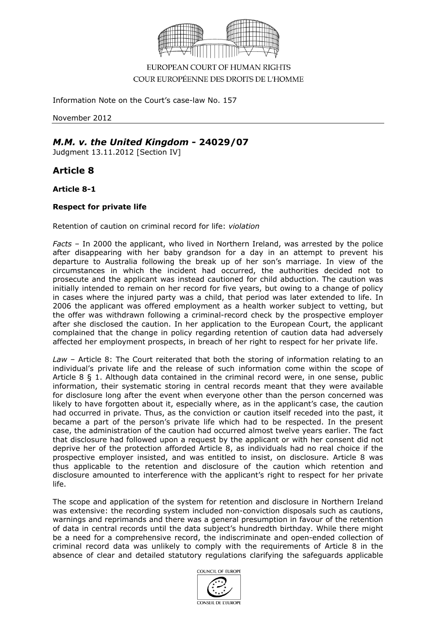

EUROPEAN COURT OF HUMAN RIGHTS COUR EUROPÉENNE DES DROITS DE L'HOMME

Information Note on the Court's case-law No. 157

November 2012

## *M.M. v. the United Kingdom* **- 24029/07**

Judgment 13.11.2012 [Section IV]

**Article 8**

**Article 8-1**

## **Respect for private life**

Retention of caution on criminal record for life: *violation*

*Facts* – In 2000 the applicant, who lived in Northern Ireland, was arrested by the police after disappearing with her baby grandson for a day in an attempt to prevent his departure to Australia following the break up of her son's marriage. In view of the circumstances in which the incident had occurred, the authorities decided not to prosecute and the applicant was instead cautioned for child abduction. The caution was initially intended to remain on her record for five years, but owing to a change of policy in cases where the injured party was a child, that period was later extended to life. In 2006 the applicant was offered employment as a health worker subject to vetting, but the offer was withdrawn following a criminal-record check by the prospective employer after she disclosed the caution. In her application to the European Court, the applicant complained that the change in policy regarding retention of caution data had adversely affected her employment prospects, in breach of her right to respect for her private life.

*Law* – Article 8: The Court reiterated that both the storing of information relating to an individual's private life and the release of such information come within the scope of Article 8 § 1. Although data contained in the criminal record were, in one sense, public information, their systematic storing in central records meant that they were available for disclosure long after the event when everyone other than the person concerned was likely to have forgotten about it, especially where, as in the applicant's case, the caution had occurred in private. Thus, as the conviction or caution itself receded into the past, it became a part of the person's private life which had to be respected. In the present case, the administration of the caution had occurred almost twelve years earlier. The fact that disclosure had followed upon a request by the applicant or with her consent did not deprive her of the protection afforded Article 8, as individuals had no real choice if the prospective employer insisted, and was entitled to insist, on disclosure. Article 8 was thus applicable to the retention and disclosure of the caution which retention and disclosure amounted to interference with the applicant's right to respect for her private life.

The scope and application of the system for retention and disclosure in Northern Ireland was extensive: the recording system included non-conviction disposals such as cautions, warnings and reprimands and there was a general presumption in favour of the retention of data in central records until the data subject's hundredth birthday. While there might be a need for a comprehensive record, the indiscriminate and open-ended collection of criminal record data was unlikely to comply with the requirements of Article 8 in the absence of clear and detailed statutory regulations clarifying the safeguards applicable